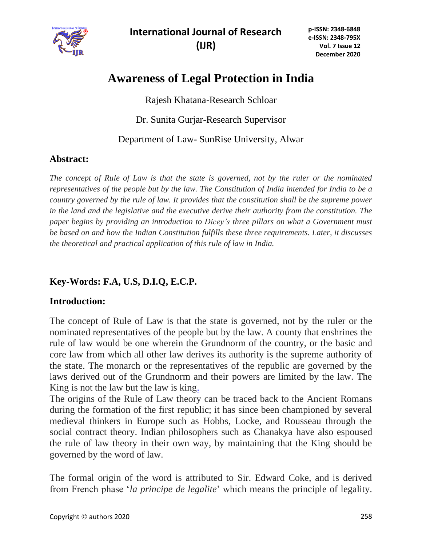

**International Journal of Research (IJR)**

# **Awareness of Legal Protection in India**

Rajesh Khatana-Research Schloar

Dr. Sunita Gurjar-Research Supervisor

Department of Law- SunRise University, Alwar

## **Abstract:**

*The concept of Rule of Law is that the state is governed, not by the ruler or the nominated representatives of the people but by the law. The Constitution of India intended for India to be a country governed by the rule of law. It provides that the constitution shall be the supreme power in the land and the legislative and the executive derive their authority from the constitution. The paper begins by providing an introduction to Dicey's three pillars on what a Government must be based on and how the Indian Constitution fulfills these three requirements. Later, it discusses the theoretical and practical application of this rule of law in India.*

# **Key-Words: F.A, U.S, D.I.Q, E.C.P.**

## **Introduction:**

The concept of Rule of Law is that the state is governed, not by the ruler or the nominated representatives of the people but by the law. A county that enshrines the rule of law would be one wherein the Grundnorm of the country, or the basic and core law from which all other law derives its authority is the supreme authority of the state. The monarch or the representatives of the republic are governed by the laws derived out of the Grundnorm and their powers are limited by the law. The King is not the law but the law is king.

The origins of the Rule of Law theory can be traced back to the Ancient Romans during the formation of the first republic; it has since been championed by several medieval thinkers in Europe such as Hobbs, Locke, and Rousseau through the social contract theory. Indian philosophers such as Chanakya have also espoused the rule of law theory in their own way, by maintaining that the King should be governed by the word of law.

The formal origin of the word is attributed to Sir. Edward Coke, and is derived from French phase '*la principe de legalite*' which means the principle of legality.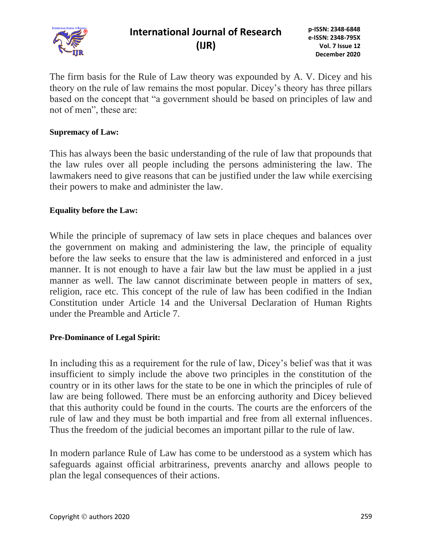

The firm basis for the Rule of Law theory was expounded by A. V. Dicey and his theory on the rule of law remains the most popular. Dicey's theory has three pillars based on the concept that "a government should be based on principles of law and not of men", these are:

#### **Supremacy of Law:**

This has always been the basic understanding of the rule of law that propounds that the law rules over all people including the persons administering the law. The lawmakers need to give reasons that can be justified under the law while exercising their powers to make and administer the law.

#### **Equality before the Law:**

While the principle of supremacy of law sets in place cheques and balances over the government on making and administering the law, the principle of equality before the law seeks to ensure that the law is administered and enforced in a just manner. It is not enough to have a fair law but the law must be applied in a just manner as well. The law cannot discriminate between people in matters of sex, religion, race etc. This concept of the rule of law has been codified in the Indian Constitution under Article 14 and the Universal Declaration of Human Rights under the Preamble and Article 7.

#### **Pre-Dominance of Legal Spirit:**

In including this as a requirement for the rule of law, Dicey's belief was that it was insufficient to simply include the above two principles in the constitution of the country or in its other laws for the state to be one in which the principles of rule of law are being followed. There must be an enforcing authority and Dicey believed that this authority could be found in the courts. The courts are the enforcers of the rule of law and they must be both impartial and free from all external influences. Thus the freedom of the judicial becomes an important pillar to the rule of law.

In modern parlance Rule of Law has come to be understood as a system which has safeguards against official arbitrariness, prevents anarchy and allows people to plan the legal consequences of their actions.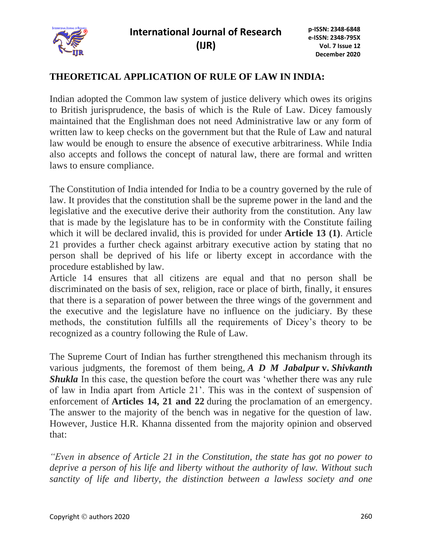

### **THEORETICAL APPLICATION OF RULE OF LAW IN INDIA:**

Indian adopted the Common law system of justice delivery which owes its origins to British jurisprudence, the basis of which is the Rule of Law. Dicey famously maintained that the Englishman does not need Administrative law or any form of written law to keep checks on the government but that the Rule of Law and natural law would be enough to ensure the absence of executive arbitrariness. While India also accepts and follows the concept of natural law, there are formal and written laws to ensure compliance.

The Constitution of India intended for India to be a country governed by the rule of law. It provides that the constitution shall be the supreme power in the land and the legislative and the executive derive their authority from the constitution. Any law that is made by the legislature has to be in conformity with the Constitute failing which it will be declared invalid, this is provided for under **Article 13 (1)**. Article 21 provides a further check against arbitrary executive action by stating that no person shall be deprived of his life or liberty except in accordance with the procedure established by law.

Article 14 ensures that all citizens are equal and that no person shall be discriminated on the basis of sex, religion, race or place of birth, finally, it ensures that there is a separation of power between the three wings of the government and the executive and the legislature have no influence on the judiciary. By these methods, the constitution fulfills all the requirements of Dicey's theory to be recognized as a country following the Rule of Law.

The Supreme Court of Indian has further strengthened this mechanism through its various judgments, the foremost of them being, *A D M Jabalpur* **v.** *Shivkanth Shukla* In this case, the question before the court was 'whether there was any rule of law in India apart from Article 21'. This was in the context of suspension of enforcement of **Articles 14, 21 and 22** during the proclamation of an emergency. The answer to the majority of the bench was in negative for the question of law. However, Justice H.R. Khanna dissented from the majority opinion and observed that:

*"Even in absence of Article 21 in the Constitution, the state has got no power to deprive a person of his life and liberty without the authority of law. Without such sanctity of life and liberty, the distinction between a lawless society and one*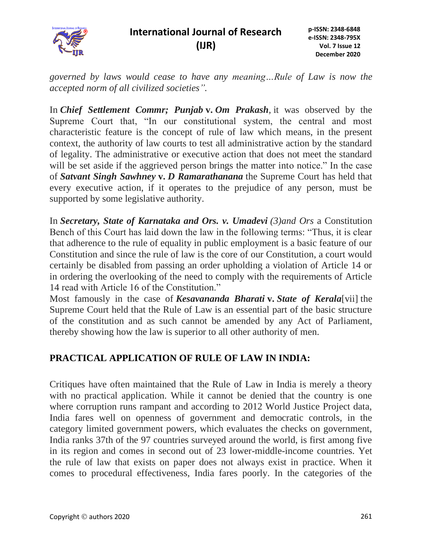

*governed by laws would cease to have any meaning…Rule of Law is now the accepted norm of all civilized societies".*

In *Chief Settlement Commr; Punjab* **v.** *Om Prakash,* it was observed by the Supreme Court that, "In our constitutional system, the central and most characteristic feature is the concept of rule of law which means, in the present context, the authority of law courts to test all administrative action by the standard of legality. The administrative or executive action that does not meet the standard will be set aside if the aggrieved person brings the matter into notice." In the case of *Satvant Singh Sawhney* **v.** *D Ramarathanana* the Supreme Court has held that every executive action, if it operates to the prejudice of any person, must be supported by some legislative authority.

In *Secretary, State of Karnataka and Ors. v. Umadevi (3)and Ors* a Constitution Bench of this Court has laid down the law in the following terms: "Thus, it is clear that adherence to the rule of equality in public employment is a basic feature of our Constitution and since the rule of law is the core of our Constitution, a court would certainly be disabled from passing an order upholding a violation of Article 14 or in ordering the overlooking of the need to comply with the requirements of Article 14 read with Article 16 of the Constitution."

Most famously in the case of *Kesavananda Bharati* **v.** *State of Kerala*[vii] the Supreme Court held that the Rule of Law is an essential part of the basic structure of the constitution and as such cannot be amended by any Act of Parliament, thereby showing how the law is superior to all other authority of men.

## **PRACTICAL APPLICATION OF RULE OF LAW IN INDIA:**

Critiques have often maintained that the Rule of Law in India is merely a theory with no practical application. While it cannot be denied that the country is one where corruption runs rampant and according to 2012 World Justice Project data, India fares well on openness of government and democratic controls, in the category limited government powers, which evaluates the checks on government, India ranks 37th of the 97 countries surveyed around the world, is first among five in its region and comes in second out of 23 lower-middle-income countries. Yet the rule of law that exists on paper does not always exist in practice. When it comes to procedural effectiveness, India fares poorly. In the categories of the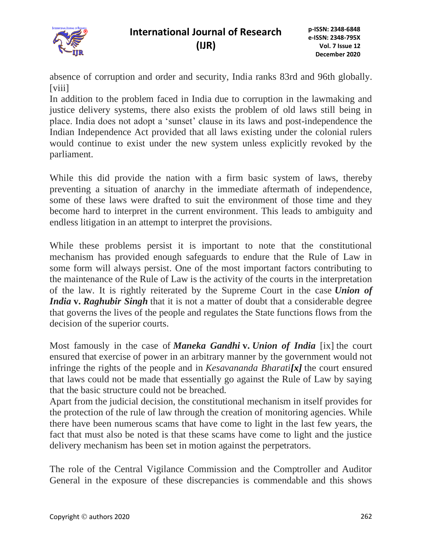

absence of corruption and order and security, India ranks 83rd and 96th globally. [viii]

In addition to the problem faced in India due to corruption in the lawmaking and justice delivery systems, there also exists the problem of old laws still being in place. India does not adopt a 'sunset' clause in its laws and post-independence the Indian Independence Act provided that all laws existing under the colonial rulers would continue to exist under the new system unless explicitly revoked by the parliament.

While this did provide the nation with a firm basic system of laws, thereby preventing a situation of anarchy in the immediate aftermath of independence, some of these laws were drafted to suit the environment of those time and they become hard to interpret in the current environment. This leads to ambiguity and endless litigation in an attempt to interpret the provisions.

While these problems persist it is important to note that the constitutional mechanism has provided enough safeguards to endure that the Rule of Law in some form will always persist. One of the most important factors contributing to the maintenance of the Rule of Law is the activity of the courts in the interpretation of the law. It is rightly reiterated by the Supreme Court in the case *Union of India* **v.** *Raghubir Singh* that it is not a matter of doubt that a considerable degree that governs the lives of the people and regulates the State functions flows from the decision of the superior courts.

Most famously in the case of *Maneka Gandhi* **v.** *Union of India* [ix] the court ensured that exercise of power in an arbitrary manner by the government would not infringe the rights of the people and in *Kesavananda Bharati[x]* the court ensured that laws could not be made that essentially go against the Rule of Law by saying that the basic structure could not be breached.

Apart from the judicial decision, the constitutional mechanism in itself provides for the protection of the rule of law through the creation of monitoring agencies. While there have been numerous scams that have come to light in the last few years, the fact that must also be noted is that these scams have come to light and the justice delivery mechanism has been set in motion against the perpetrators.

The role of the Central Vigilance Commission and the Comptroller and Auditor General in the exposure of these discrepancies is commendable and this shows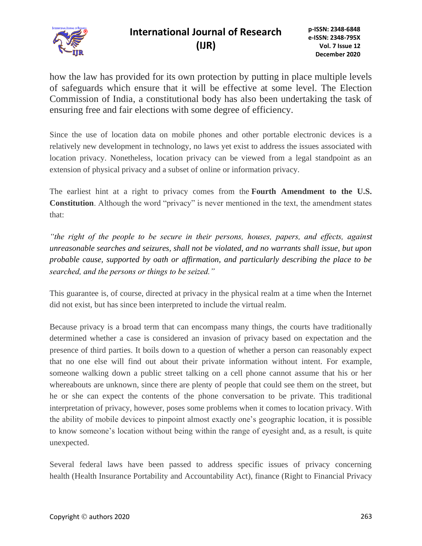

# **International Journal of Research (IJR)**

how the law has provided for its own protection by putting in place multiple levels of safeguards which ensure that it will be effective at some level. The Election Commission of India, a constitutional body has also been undertaking the task of ensuring free and fair elections with some degree of efficiency.

Since the use of location data on mobile phones and other portable electronic devices is a relatively new development in technology, no laws yet exist to address the issues associated with location privacy. Nonetheless, location privacy can be viewed from a legal standpoint as an extension of physical privacy and a subset of online or information privacy.

The earliest hint at a right to privacy comes from the **Fourth Amendment to the U.S. Constitution**. Although the word "privacy" is never mentioned in the text, the amendment states that:

*"the right of the people to be secure in their persons, houses, papers, and effects, against unreasonable searches and seizures, shall not be violated, and no warrants shall issue, but upon probable cause, supported by oath or affirmation, and particularly describing the place to be searched, and the persons or things to be seized."*

This guarantee is, of course, directed at privacy in the physical realm at a time when the Internet did not exist, but has since been interpreted to include the virtual realm.

Because privacy is a broad term that can encompass many things, the courts have traditionally determined whether a case is considered an invasion of privacy based on expectation and the presence of third parties. It boils down to a question of whether a person can reasonably expect that no one else will find out about their private information without intent. For example, someone walking down a public street talking on a cell phone cannot assume that his or her whereabouts are unknown, since there are plenty of people that could see them on the street, but he or she can expect the contents of the phone conversation to be private. This traditional interpretation of privacy, however, poses some problems when it comes to location privacy. With the ability of mobile devices to pinpoint almost exactly one's geographic location, it is possible to know someone's location without being within the range of eyesight and, as a result, is quite unexpected.

Several federal laws have been passed to address specific issues of privacy concerning health (Health Insurance Portability and Accountability Act), finance (Right to Financial Privacy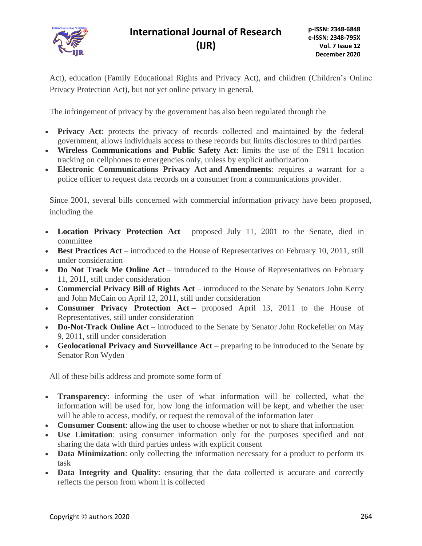

Act), education (Family Educational Rights and Privacy Act), and children (Children's Online Privacy Protection Act), but not yet online privacy in general.

The infringement of privacy by the government has also been regulated through the

- **Privacy Act**: protects the privacy of records collected and maintained by the federal government, allows individuals access to these records but limits disclosures to third parties
- **Wireless Communications and Public Safety Act**: limits the use of the E911 location tracking on cellphones to emergencies only, unless by explicit authorization
- **Electronic Communications Privacy Act and [Amendments](http://www.govtrack.us/congress/bill.xpd?bill=s112-1011)**: requires a warrant for a police officer to request data records on a consumer from a communications provider.

Since 2001, several bills concerned with commercial information privacy have been proposed, including the

- **Location Privacy Protection Act** proposed July 11, 2001 to the Senate, died in committee
- **Best Practices Act** introduced to the House of Representatives on February 10, 2011, still under consideration
- **Do Not Track Me Online Act** introduced to the House of Representatives on February 11, 2011, still under consideration
- **Commercial Privacy Bill of Rights Act** introduced to the Senate by Senators John Kerry and John McCain on April 12, 2011, still under consideration
- **Consumer Privacy Protection Act** proposed April 13, 2011 to the House of Representatives, still under consideration
- **Do-Not-Track Online Act** introduced to the Senate by Senator John Rockefeller on May 9, 2011, still under consideration
- **Geolocational Privacy and Surveillance Act** preparing to be introduced to the Senate by Senator Ron Wyden

All of these bills address and promote some form of

- **Transparency**: informing the user of what information will be collected, what the information will be used for, how long the information will be kept, and whether the user will be able to access, modify, or request the removal of the information later
- **Consumer Consent**: allowing the user to choose whether or not to share that information
- **Use Limitation**: using consumer information only for the purposes specified and not sharing the data with third parties unless with explicit consent
- **Data Minimization**: only collecting the information necessary for a product to perform its task
- **Data Integrity and Quality**: ensuring that the data collected is accurate and correctly reflects the person from whom it is collected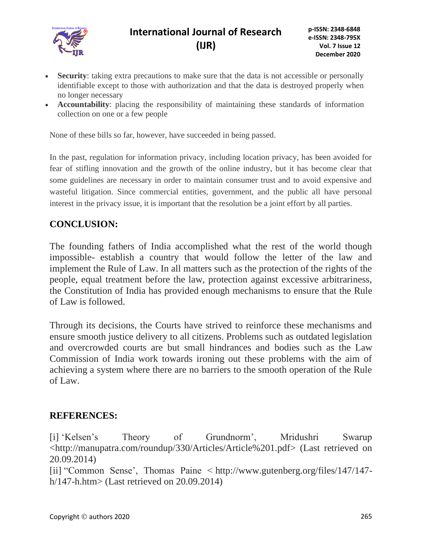

- **Security**: taking extra precautions to make sure that the data is not accessible or personally identifiable except to those with authorization and that the data is destroyed properly when no longer necessary
- **Accountability**: placing the responsibility of maintaining these standards of information collection on one or a few people

None of these bills so far, however, have succeeded in being passed.

In the past, regulation for information privacy, including location privacy, has been avoided for fear of stifling innovation and the growth of the online industry, but it has become clear that some guidelines are necessary in order to maintain consumer trust and to avoid expensive and wasteful litigation. Since commercial entities, government, and the public all have personal interest in the privacy issue, it is important that the resolution be a joint effort by all parties.

#### **CONCLUSION:**

The founding fathers of India accomplished what the rest of the world though impossible- establish a country that would follow the letter of the law and implement the Rule of Law. In all matters such as the protection of the rights of the people, equal treatment before the law, protection against excessive arbitrariness, the Constitution of India has provided enough mechanisms to ensure that the Rule of Law is followed.

Through its decisions, the Courts have strived to reinforce these mechanisms and ensure smooth justice delivery to all citizens. Problems such as outdated legislation and overcrowded courts are but small hindrances and bodies such as the Law Commission of India work towards ironing out these problems with the aim of achieving a system where there are no barriers to the smooth operation of the Rule of Law.

#### **REFERENCES:**

[i] 'Kelsen's Theory of Grundnorm', Mridushri Swarup <http://manupatra.com/roundup/330/Articles/Article%201.pdf> (Last retrieved on 20.09.2014)

[ii] "Common Sense', Thomas Paine < http://www.gutenberg.org/files/147/147 h/147-h.htm> (Last retrieved on  $20.09.2014$ )